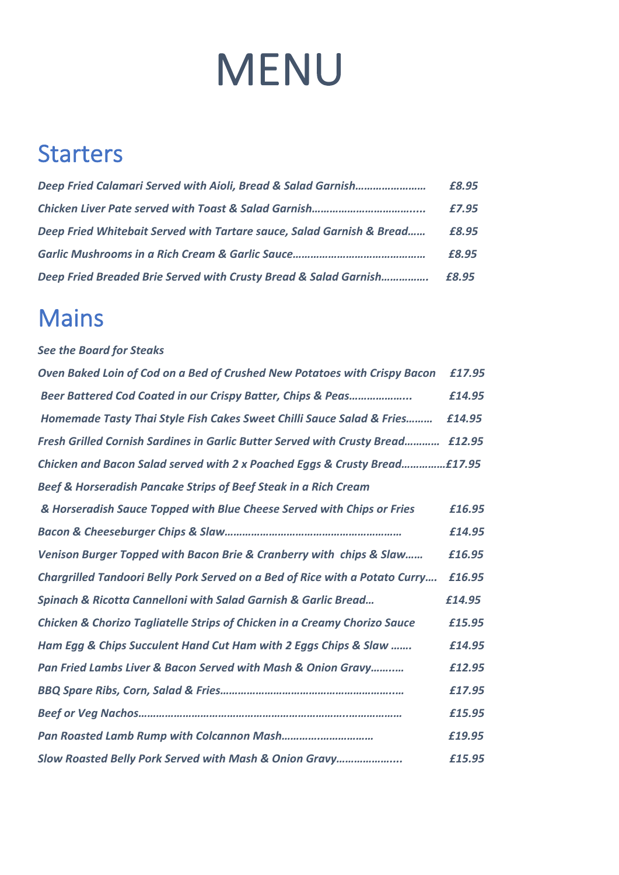# MENU

### **Starters**

|                                                                       | £8.95 |
|-----------------------------------------------------------------------|-------|
|                                                                       | £7.95 |
| Deep Fried Whitebait Served with Tartare sauce, Salad Garnish & Bread | £8.95 |
|                                                                       | £8.95 |
| Deep Fried Breaded Brie Served with Crusty Bread & Salad Garnish      | £8.95 |

#### Mains

#### *See the Board for Steaks*

| Oven Baked Loin of Cod on a Bed of Crushed New Potatoes with Crispy Bacon       | £17.95 |
|---------------------------------------------------------------------------------|--------|
| Beer Battered Cod Coated in our Crispy Batter, Chips & Peas                     | £14.95 |
| Homemade Tasty Thai Style Fish Cakes Sweet Chilli Sauce Salad & Fries           | £14.95 |
| <b>Fresh Grilled Cornish Sardines in Garlic Butter Served with Crusty Bread</b> | £12.95 |
| Chicken and Bacon Salad served with 2 x Poached Eggs & Crusty Bread£17.95       |        |
| Beef & Horseradish Pancake Strips of Beef Steak in a Rich Cream                 |        |
| & Horseradish Sauce Topped with Blue Cheese Served with Chips or Fries          | £16.95 |
|                                                                                 | £14.95 |
| Venison Burger Topped with Bacon Brie & Cranberry with chips & Slaw             | £16.95 |
| Chargrilled Tandoori Belly Pork Served on a Bed of Rice with a Potato Curry     | £16.95 |
| Spinach & Ricotta Cannelloni with Salad Garnish & Garlic Bread                  | £14.95 |
| Chicken & Chorizo Tagliatelle Strips of Chicken in a Creamy Chorizo Sauce       | £15.95 |
| Ham Egg & Chips Succulent Hand Cut Ham with 2 Eggs Chips & Slaw                 | £14.95 |
| Pan Fried Lambs Liver & Bacon Served with Mash & Onion Gravy                    | £12.95 |
|                                                                                 | £17.95 |
|                                                                                 | £15.95 |
|                                                                                 | £19.95 |
| Slow Roasted Belly Pork Served with Mash & Onion Gravy                          | £15.95 |